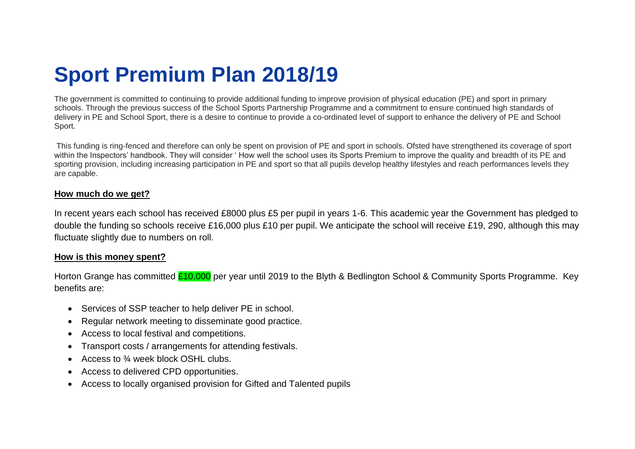## **Sport Premium Plan 2018/19**

The government is committed to continuing to provide additional funding to improve provision of physical education (PE) and sport in primary schools. Through the previous success of the School Sports Partnership Programme and a commitment to ensure continued high standards of delivery in PE and School Sport, there is a desire to continue to provide a co-ordinated level of support to enhance the delivery of PE and School Sport.

This funding is ring-fenced and therefore can only be spent on provision of PE and sport in schools. Ofsted have strengthened its coverage of sport within the Inspectors' handbook. They will consider ' How well the school uses its Sports Premium to improve the quality and breadth of its PE and sporting provision, including increasing participation in PE and sport so that all pupils develop healthy lifestyles and reach performances levels they are capable.

## **How much do we get?**

In recent years each school has received £8000 plus £5 per pupil in years 1-6. This academic year the Government has pledged to double the funding so schools receive £16,000 plus £10 per pupil. We anticipate the school will receive £19, 290, although this may fluctuate slightly due to numbers on roll.

## **How is this money spent?**

Horton Grange has committed £10,000 per year until 2019 to the Blyth & Bedlington School & Community Sports Programme. Key benefits are:

- Services of SSP teacher to help deliver PE in school.
- Regular network meeting to disseminate good practice.
- Access to local festival and competitions.
- Transport costs / arrangements for attending festivals.
- Access to  $\frac{3}{4}$  week block OSHL clubs.
- Access to delivered CPD opportunities.
- Access to locally organised provision for Gifted and Talented pupils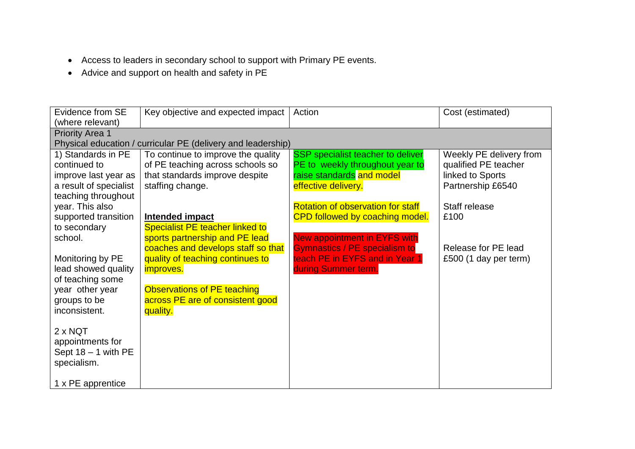- Access to leaders in secondary school to support with Primary PE events.
- Advice and support on health and safety in PE

| Evidence from SE       | Key objective and expected impact                            | Action                                   | Cost (estimated)        |
|------------------------|--------------------------------------------------------------|------------------------------------------|-------------------------|
| (where relevant)       |                                                              |                                          |                         |
| <b>Priority Area 1</b> |                                                              |                                          |                         |
|                        | Physical education / curricular PE (delivery and leadership) |                                          |                         |
| 1) Standards in PE     | To continue to improve the quality                           | <b>SSP</b> specialist teacher to deliver | Weekly PE delivery from |
| continued to           | of PE teaching across schools so                             | PE to weekly throughout year to          | qualified PE teacher    |
| improve last year as   | that standards improve despite                               | raise standards and model                | linked to Sports        |
| a result of specialist | staffing change.                                             | effective delivery.                      | Partnership £6540       |
| teaching throughout    |                                                              |                                          |                         |
| year. This also        |                                                              | <b>Rotation of observation for staff</b> | Staff release           |
| supported transition   | Intended impact                                              | CPD followed by coaching model.          | £100                    |
| to secondary           | <b>Specialist PE teacher linked to</b>                       |                                          |                         |
| school.                | sports partnership and PE lead                               | <b>New appointment in EYFS with</b>      |                         |
|                        | coaches and develops staff so that                           | <b>Gymnastics / PE specialism to</b>     | Release for PE lead     |
| Monitoring by PE       | quality of teaching continues to                             | teach PE in EYFS and in Year 1           | £500 (1 day per term)   |
| lead showed quality    | <i>improves.</i>                                             | during Summer term.                      |                         |
| of teaching some       |                                                              |                                          |                         |
| year other year        | Observations of PE teaching                                  |                                          |                         |
| groups to be           | across PE are of consistent good                             |                                          |                         |
| inconsistent.          | quality.                                                     |                                          |                         |
|                        |                                                              |                                          |                         |
| $2 \times NOT$         |                                                              |                                          |                         |
| appointments for       |                                                              |                                          |                         |
| Sept $18 - 1$ with PE  |                                                              |                                          |                         |
| specialism.            |                                                              |                                          |                         |
|                        |                                                              |                                          |                         |
| 1 x PE apprentice      |                                                              |                                          |                         |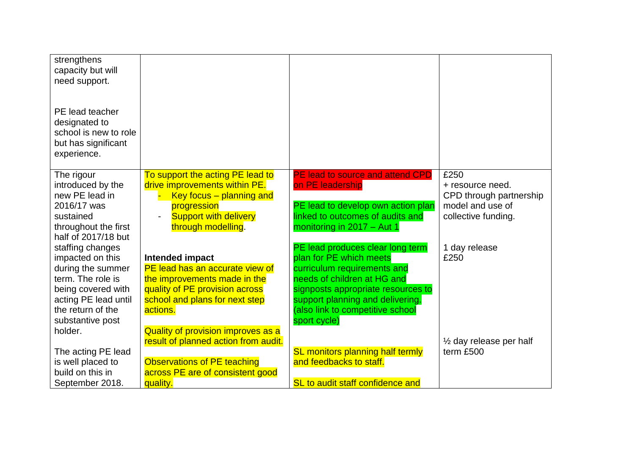| strengthens<br>capacity but will<br>need support.                                               |                                                                   |                                    |                                                 |
|-------------------------------------------------------------------------------------------------|-------------------------------------------------------------------|------------------------------------|-------------------------------------------------|
| PE lead teacher<br>designated to<br>school is new to role<br>but has significant<br>experience. |                                                                   |                                    |                                                 |
| The rigour                                                                                      | To support the acting PE lead to<br>drive improvements within PE. | PE lead to source and attend CPD   | £250                                            |
| introduced by the<br>new PE lead in                                                             | Key focus - planning and                                          | on PE leadership                   | + resource need.<br>CPD through partnership     |
| 2016/17 was                                                                                     | progression                                                       | PE lead to develop own action plan | model and use of                                |
| sustained                                                                                       | <b>Support with delivery</b>                                      | linked to outcomes of audits and   | collective funding.                             |
| throughout the first                                                                            | through modelling.                                                | monitoring in 2017 - Aut 1         |                                                 |
| half of 2017/18 but                                                                             |                                                                   |                                    |                                                 |
| staffing changes                                                                                |                                                                   | PE lead produces clear long term   | 1 day release                                   |
| impacted on this                                                                                | Intended impact                                                   | plan for PE which meets            | £250                                            |
| during the summer                                                                               | PE lead has an accurate view of                                   | curriculum requirements and        |                                                 |
| term. The role is                                                                               | the improvements made in the                                      | needs of children at HG and        |                                                 |
| being covered with                                                                              | quality of PE provision across                                    | signposts appropriate resources to |                                                 |
| acting PE lead until                                                                            | school and plans for next step                                    | support planning and delivering.   |                                                 |
| the return of the                                                                               | actions.                                                          | (also link to competitive school   |                                                 |
| substantive post                                                                                |                                                                   | sport cycle)                       |                                                 |
| holder.                                                                                         | Quality of provision improves as a                                |                                    |                                                 |
| The acting PE lead                                                                              | result of planned action from audit.                              | SL monitors planning half termly   | $\frac{1}{2}$ day release per half<br>term £500 |
| is well placed to                                                                               | <b>Observations of PE teaching</b>                                | and feedbacks to staff.            |                                                 |
| build on this in                                                                                | across PE are of consistent good                                  |                                    |                                                 |
| September 2018.                                                                                 | quality.                                                          | SL to audit staff confidence and   |                                                 |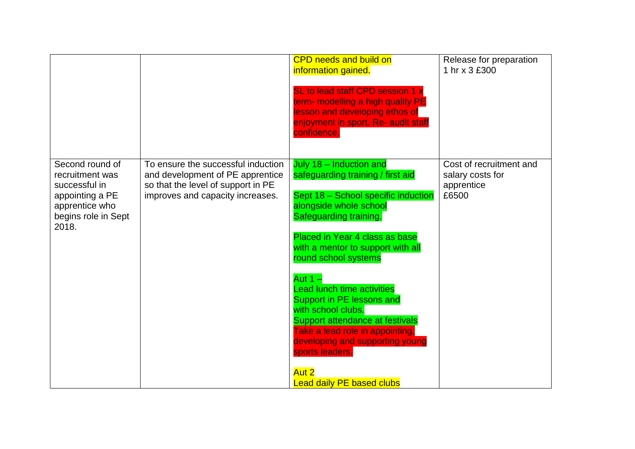|                                                                                                                          |                                                                                                                                                  | <b>CPD needs and build on</b><br>information gained.<br>SL to lead staff CPD session 1 x<br>term- modelling a high quality PE<br>lesson and developing ethos of<br>enjoyment in sport. Re- audit staff<br>confidence.                                                                                                                                                                                                                                                                                                                | Release for preparation<br>1 hr x 3 £300                           |
|--------------------------------------------------------------------------------------------------------------------------|--------------------------------------------------------------------------------------------------------------------------------------------------|--------------------------------------------------------------------------------------------------------------------------------------------------------------------------------------------------------------------------------------------------------------------------------------------------------------------------------------------------------------------------------------------------------------------------------------------------------------------------------------------------------------------------------------|--------------------------------------------------------------------|
| Second round of<br>recruitment was<br>successful in<br>appointing a PE<br>apprentice who<br>begins role in Sept<br>2018. | To ensure the successful induction<br>and development of PE apprentice<br>so that the level of support in PE<br>improves and capacity increases. | July 18 - Induction and<br>safeguarding training / first aid<br>Sept 18 - School specific induction<br>alongside whole school<br>Safeguarding training.<br>Placed in Year 4 class as base<br>with a mentor to support with all<br>round school systems<br>Aut $1 -$<br><b>Lead lunch time activities</b><br>Support in PE lessons and<br>with school clubs.<br>Support attendance at festivals<br>Take a lead role in appointing,<br>developing and supporting young<br>sports leaders.<br>Aut 2<br><b>Lead daily PE based clubs</b> | Cost of recruitment and<br>salary costs for<br>apprentice<br>£6500 |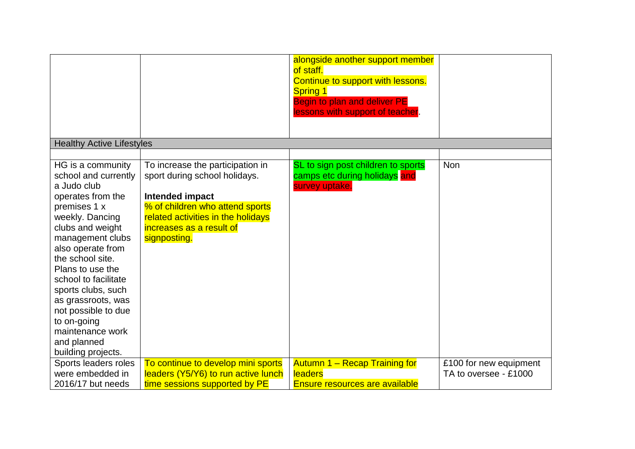|                                  |                                                                       | alongside another support member<br>of staff.<br>Continue to support with lessons.<br><b>Spring 1</b><br><b>Begin to plan and deliver PE</b><br>lessons with support of teacher. |                        |
|----------------------------------|-----------------------------------------------------------------------|----------------------------------------------------------------------------------------------------------------------------------------------------------------------------------|------------------------|
|                                  |                                                                       |                                                                                                                                                                                  |                        |
| <b>Healthy Active Lifestyles</b> |                                                                       |                                                                                                                                                                                  |                        |
|                                  |                                                                       |                                                                                                                                                                                  |                        |
| HG is a community                | To increase the participation in                                      | SL to sign post children to sports                                                                                                                                               | <b>Non</b>             |
| school and currently             | sport during school holidays.                                         | camps etc during holidays and                                                                                                                                                    |                        |
| a Judo club                      |                                                                       | survey uptake.                                                                                                                                                                   |                        |
| operates from the                | Intended impact                                                       |                                                                                                                                                                                  |                        |
| premises 1 x<br>weekly. Dancing  | % of children who attend sports<br>related activities in the holidays |                                                                                                                                                                                  |                        |
| clubs and weight                 | increases as a result of                                              |                                                                                                                                                                                  |                        |
| management clubs                 | signposting.                                                          |                                                                                                                                                                                  |                        |
| also operate from                |                                                                       |                                                                                                                                                                                  |                        |
| the school site.                 |                                                                       |                                                                                                                                                                                  |                        |
| Plans to use the                 |                                                                       |                                                                                                                                                                                  |                        |
| school to facilitate             |                                                                       |                                                                                                                                                                                  |                        |
| sports clubs, such               |                                                                       |                                                                                                                                                                                  |                        |
| as grassroots, was               |                                                                       |                                                                                                                                                                                  |                        |
| not possible to due              |                                                                       |                                                                                                                                                                                  |                        |
| to on-going                      |                                                                       |                                                                                                                                                                                  |                        |
| maintenance work                 |                                                                       |                                                                                                                                                                                  |                        |
| and planned                      |                                                                       |                                                                                                                                                                                  |                        |
| building projects.               |                                                                       |                                                                                                                                                                                  |                        |
| Sports leaders roles             | To continue to develop mini sports                                    | <b>Autumn 1 - Recap Training for</b>                                                                                                                                             | £100 for new equipment |
| were embedded in                 | leaders (Y5/Y6) to run active lunch                                   | <b>leaders</b>                                                                                                                                                                   | TA to oversee - £1000  |
| 2016/17 but needs                | time sessions supported by PE                                         | <b>Ensure resources are available</b>                                                                                                                                            |                        |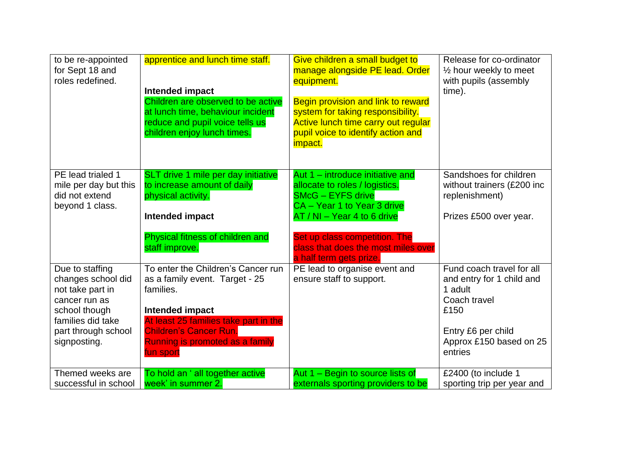| to be re-appointed<br>for Sept 18 and<br>roles redefined.                                                                                               | apprentice and lunch time staff.<br>Intended impact<br>Children are observed to be active<br>at lunch time, behaviour incident<br>reduce and pupil voice tells us<br>children enjoy lunch times.                               | Give children a small budget to<br>manage alongside PE lead. Order<br>equipment.<br>Begin provision and link to reward<br>system for taking responsibility.<br>Active lunch time carry out regular<br>pupil voice to identify action and<br><i>impact.</i>      | Release for co-ordinator<br>$\frac{1}{2}$ hour weekly to meet<br>with pupils (assembly<br>time).                                                      |
|---------------------------------------------------------------------------------------------------------------------------------------------------------|--------------------------------------------------------------------------------------------------------------------------------------------------------------------------------------------------------------------------------|-----------------------------------------------------------------------------------------------------------------------------------------------------------------------------------------------------------------------------------------------------------------|-------------------------------------------------------------------------------------------------------------------------------------------------------|
| PE lead trialed 1<br>mile per day but this<br>did not extend<br>beyond 1 class.                                                                         | SLT drive 1 mile per day initiative<br>to increase amount of daily<br>physical activity.<br>Intended impact<br>Physical fitness of children and<br>staff improve.                                                              | Aut 1 – introduce initiative and<br>allocate to roles / logistics.<br><b>SMcG - EYFS drive</b><br>CA - Year 1 to Year 3 drive<br>AT / NI - Year 4 to 6 drive<br>Set up class competition. The<br>class that does the most miles over<br>a half term gets prize. | Sandshoes for children<br>without trainers (£200 inc<br>replenishment)<br>Prizes £500 over year.                                                      |
| Due to staffing<br>changes school did<br>not take part in<br>cancer run as<br>school though<br>families did take<br>part through school<br>signposting. | To enter the Children's Cancer run<br>as a family event. Target - 25<br>families.<br>Intended impact<br>At least 25 families take part in the<br><b>Children's Cancer Run.</b><br>Running is promoted as a family<br>fun sport | PE lead to organise event and<br>ensure staff to support.                                                                                                                                                                                                       | Fund coach travel for all<br>and entry for 1 child and<br>1 adult<br>Coach travel<br>£150<br>Entry £6 per child<br>Approx £150 based on 25<br>entries |
| Themed weeks are<br>successful in school                                                                                                                | To hold an ' all together active<br>week' in summer 2.                                                                                                                                                                         | Aut 1 - Begin to source lists of<br>externals sporting providers to be                                                                                                                                                                                          | £2400 (to include 1<br>sporting trip per year and                                                                                                     |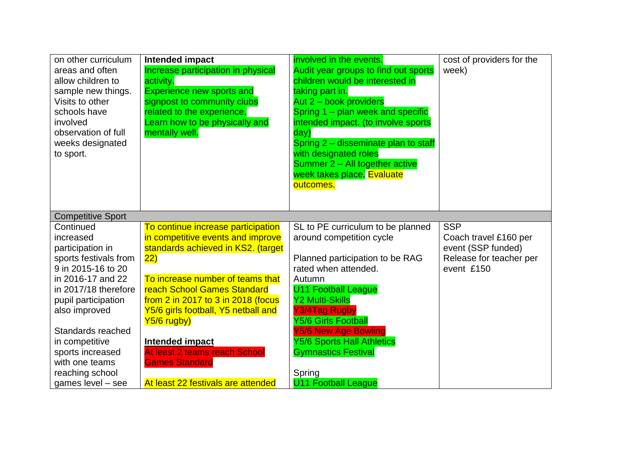| on other curriculum<br>areas and often<br>allow children to<br>sample new things.<br>Visits to other<br>schools have<br>involved<br>observation of full<br>weeks designated<br>to sport.                                                                                                                                        | Intended impact<br>Increase participation in physical<br>activity.<br><b>Experience new sports and</b><br>signpost to community clubs<br>related to the experience.<br>Learn how to be physically and<br>mentally well.                                                                                                                                                                                                | involved in the events.<br>Audit year groups to find out sports<br>children would be interested in<br>taking part in.<br>Aut 2 - book providers<br>Spring 1 - plan week and specific<br>intended impact. (to involve sports<br>day)<br>Spring 2 - disseminate plan to staff<br>with designated roles<br>Summer 2 - All together active<br>week takes place. Evaluate<br>outcomes.   | cost of providers for the<br>week)                                                                 |
|---------------------------------------------------------------------------------------------------------------------------------------------------------------------------------------------------------------------------------------------------------------------------------------------------------------------------------|------------------------------------------------------------------------------------------------------------------------------------------------------------------------------------------------------------------------------------------------------------------------------------------------------------------------------------------------------------------------------------------------------------------------|-------------------------------------------------------------------------------------------------------------------------------------------------------------------------------------------------------------------------------------------------------------------------------------------------------------------------------------------------------------------------------------|----------------------------------------------------------------------------------------------------|
| <b>Competitive Sport</b><br>Continued<br>increased<br>participation in<br>sports festivals from<br>9 in 2015-16 to 20<br>in 2016-17 and 22<br>in 2017/18 therefore<br>pupil participation<br>also improved<br>Standards reached<br>in competitive<br>sports increased<br>with one teams<br>reaching school<br>games level - see | To continue increase participation<br>in competitive events and improve<br>standards achieved in KS2. (target<br>$ 22\rangle$<br>To increase number of teams that<br><b>reach School Games Standard</b><br>from 2 in 2017 to 3 in 2018 (focus<br>Y5/6 girls football, Y5 netball and<br>Y5/6 rugby)<br>Intended impact<br>At least 2 teams reach School<br><b>Games Standard</b><br>At least 22 festivals are attended | SL to PE curriculum to be planned<br>around competition cycle<br>Planned participation to be RAG<br>rated when attended.<br>Autumn<br><b>U11 Football League</b><br><b>Y2 Multi-Skills</b><br>Y3/4Tag Rugby<br><b>Y5/6 Girls Football</b><br><b>Y5/6 New Age Bowling</b><br><b>Y5/6 Sports Hall Athletics</b><br><b>Gymnastics Festival</b><br>Spring<br><b>U11 Football League</b> | <b>SSP</b><br>Coach travel £160 per<br>event (SSP funded)<br>Release for teacher per<br>event £150 |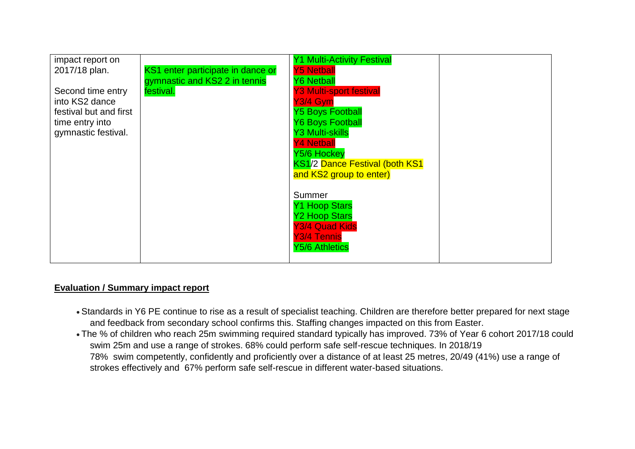

## **Evaluation / Summary impact report**

- Standards in Y6 PE continue to rise as a result of specialist teaching. Children are therefore better prepared for next stage and feedback from secondary school confirms this. Staffing changes impacted on this from Easter.
- The % of children who reach 25m swimming required standard typically has improved. 73% of Year 6 cohort 2017/18 could swim 25m and use a range of strokes. 68% could perform safe self-rescue techniques. In 2018/19 78% swim competently, confidently and proficiently over a distance of at least 25 metres, 20/49 (41%) use a range of strokes effectively and 67% perform safe self-rescue in different water-based situations.